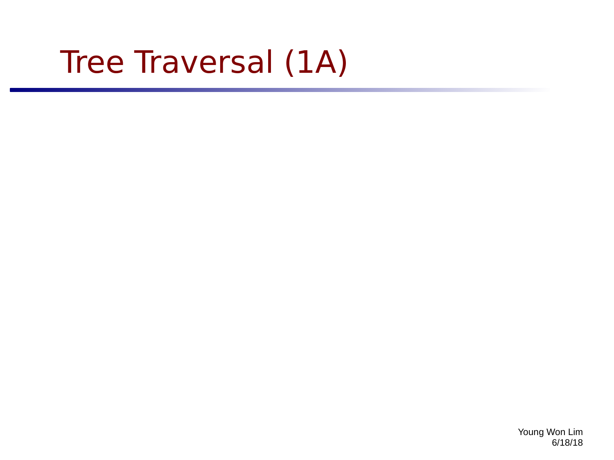## Tree Traversal (1A)

Young Won Lim 6/18/18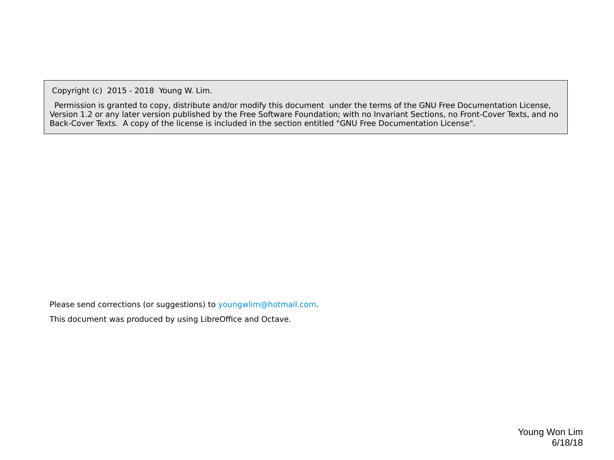Copyright (c) 2015 - 2018 Young W. Lim.

 Permission is granted to copy, distribute and/or modify this document under the terms of the GNU Free Documentation License, Version 1.2 or any later version published by the Free Software Foundation; with no Invariant Sections, no Front-Cover Texts, and no Back-Cover Texts. A copy of the license is included in the section entitled "GNU Free Documentation License".

Please send corrections (or suggestions) to [youngwlim@hotmail.com](mailto:youngwlim@hotmail.com).

This document was produced by using LibreOffice and Octave.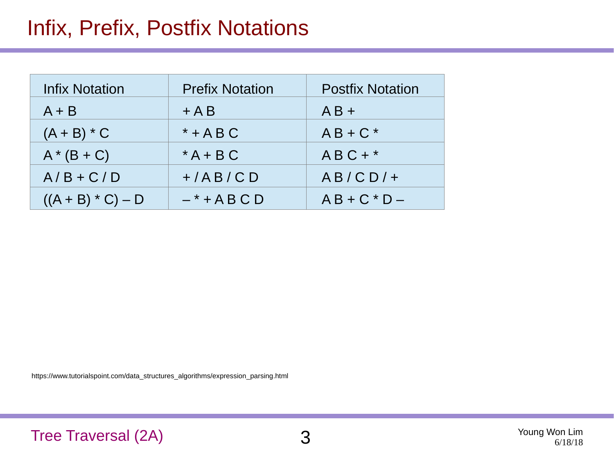## Infix, Prefix, Postfix Notations

| <b>Infix Notation</b> | <b>Prefix Notation</b> | <b>Postfix Notation</b> |
|-----------------------|------------------------|-------------------------|
| $A + B$               | $+AB$                  | $AB +$                  |
| $(A + B) * C$         | $*+ABC$                | $AB + C$ *              |
| $A*(B+C)$             | $*A + B C$             | $ABC+*$                 |
| $A/B+C/D$             | $+/AB/CD$              | $AB/CD/+$               |
| $((A + B) * C) - D$   | $-$ * + A B C D        | $AB + C * D -$          |

https://www.tutorialspoint.com/data\_structures\_algorithms/expression\_parsing.html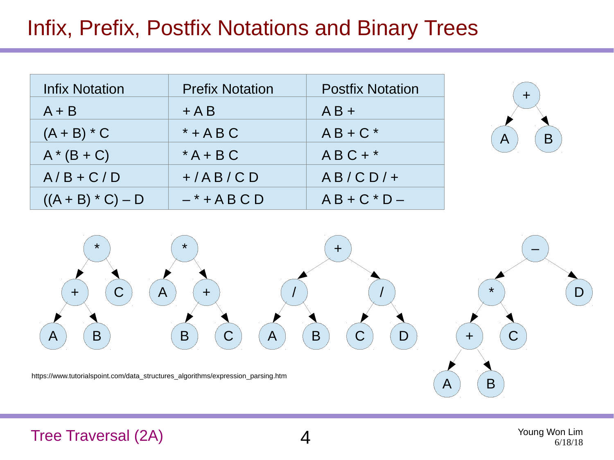## Infix, Prefix, Postfix Notations and Binary Trees

| <b>Infix Notation</b> | <b>Prefix Notation</b> | <b>Postfix Notation</b> |
|-----------------------|------------------------|-------------------------|
| $A + B$               | $+AB$                  | $AB +$                  |
| $(A + B) * C$         | $*+ABC$                | $AB + C$ *              |
| $A*(B+C)$             | $*A + B C$             | $ABC+*$                 |
| $A/B+C/D$             | $+/AB/CD$              | $AB/CD/+$               |
| $((A + B) * C) - D$   | $-$ * + A B C D        | $AB + C * D -$          |





Tree Traversal (2A) 4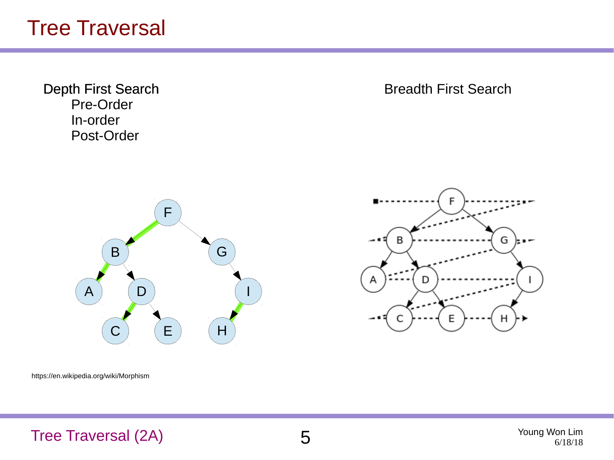Pre-Order In-order Post-Order

**Depth First Search Communist Search Breadth First Search** 



B G D E н

https://en.wikipedia.org/wiki/Morphism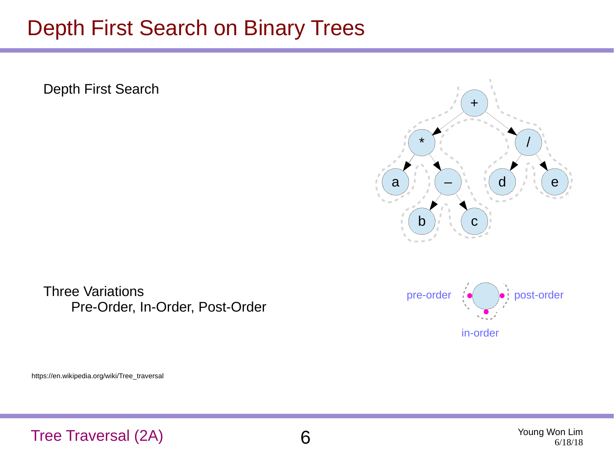## Depth First Search on Binary Trees

Depth First Search



Three Variations Pre-Order, In-Order, Post-Order

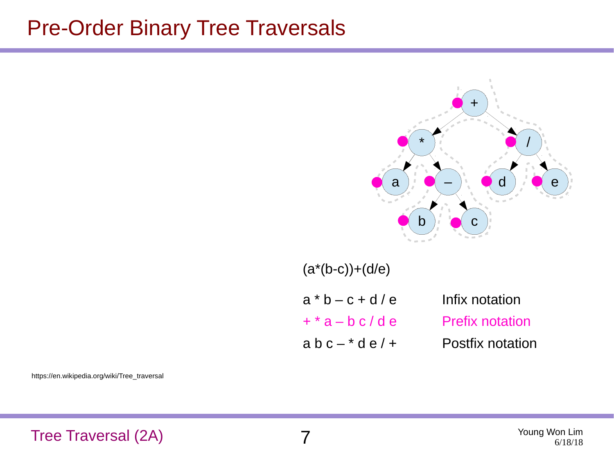#### Pre-Order Binary Tree Traversals



 $(a*(b-c))+(d/e)$ 

| $a * b - c + d / e$ | Infix notation         |
|---------------------|------------------------|
| $+$ * a – b c / d e | <b>Prefix notation</b> |
| $ab c - * d e$ / +  | Postfix notation       |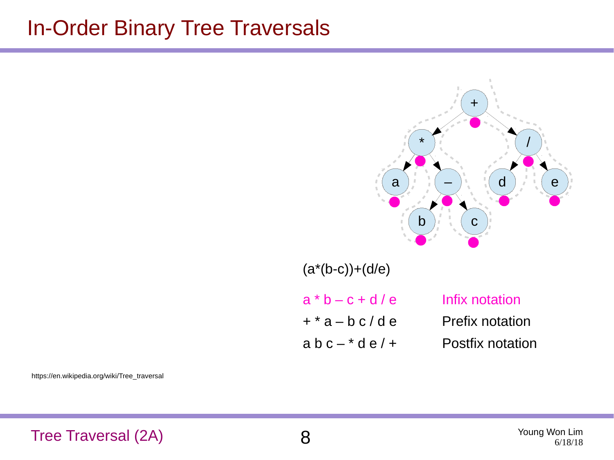#### In-Order Binary Tree Traversals



 $(a*(b-c))+(d/e)$ 

| $a * b - c + d / e$ | Infix notation         |
|---------------------|------------------------|
| $+$ *a – b c / d e  | <b>Prefix notation</b> |
| $abc - *de/$        | Postfix notation       |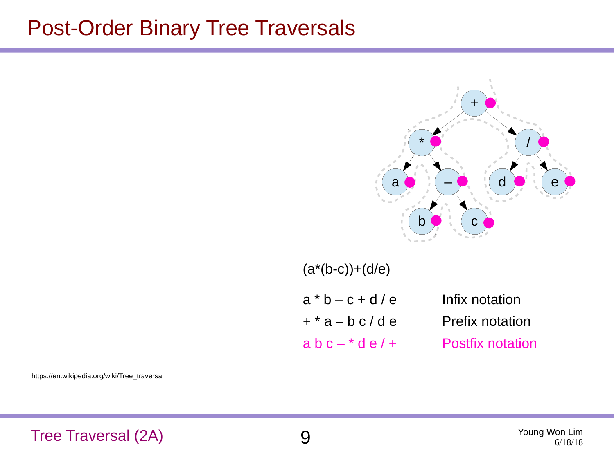#### Post-Order Binary Tree Traversals



 $(a*(b-c))+(d/e)$ 

| $a * b - c + d / e$ | Infix notation          |
|---------------------|-------------------------|
| $+$ *a – b c / d e  | <b>Prefix notation</b>  |
| $abc - *de/$        | <b>Postfix notation</b> |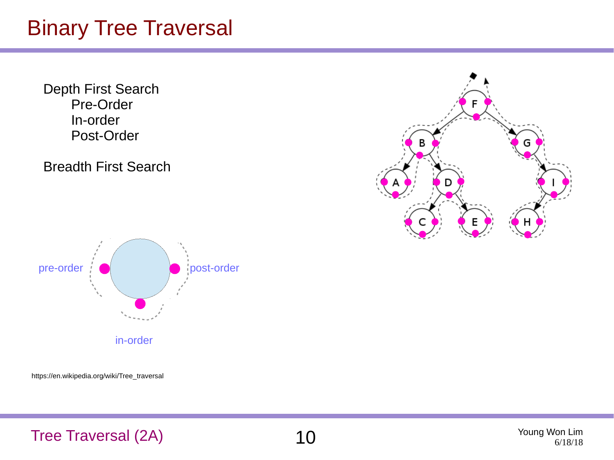## Binary Tree Traversal

Depth First Search Pre-Order In-order Post-Order

Breadth First Search



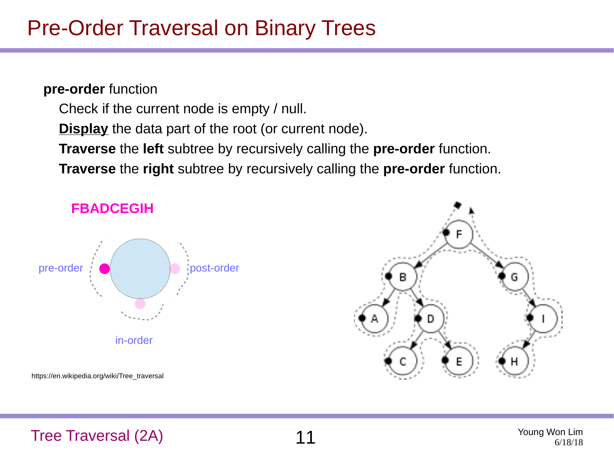#### **pre-order** function

Check if the current node is empty / null.

**Display** the data part of the root (or current node).

**Traverse** the **left** subtree by recursively calling the **pre-order** function.

**Traverse** the **right** subtree by recursively calling the **pre-order** function.

## https://en.wikipedia.org/wiki/Tree\_traversal **FBADCEGIH**  $\Box$ pre-order  $\Box$ in-order

Tree Traversal (2A) 11 Young Won Lim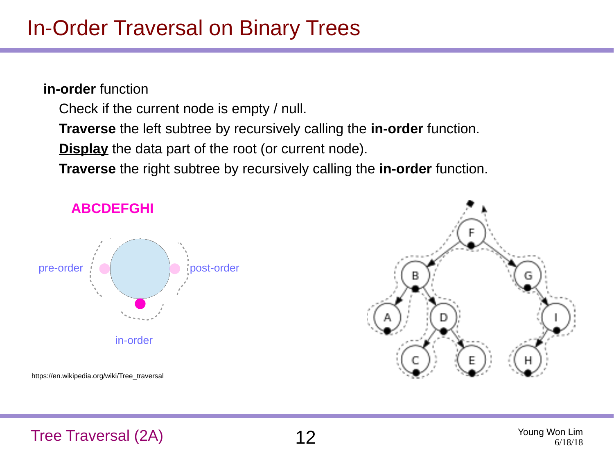## In-Order Traversal on Binary Trees

#### **in-order** function

Check if the current node is empty / null.

**Traverse** the left subtree by recursively calling the **in-order** function.

**Display** the data part of the root (or current node).

**Traverse** the right subtree by recursively calling the **in-order** function.

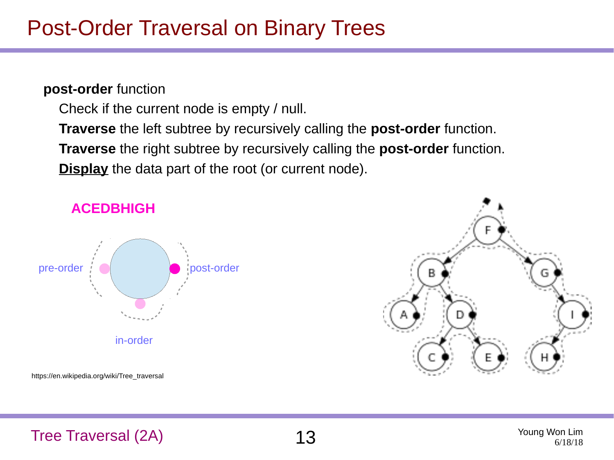#### **post-order** function

Check if the current node is empty / null.

**Traverse** the left subtree by recursively calling the **post-order** function.

**Traverse** the right subtree by recursively calling the **post-order** function.

**Display** the data part of the root (or current node).

# **ACEDBHIGH** pre-order post-order post-order in-order



https://en.wikipedia.org/wiki/Tree\_traversal

#### Tree Traversal (2A) 13 Young Won Lim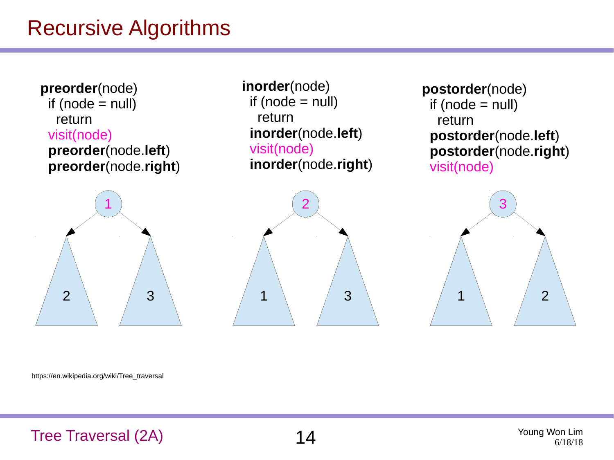## Recursive Algorithms



**inorder**(node)  $if (node = null)$  return **inorder**(node.**left**) visit(node) **inorder**(node.**right**)

**postorder**(node)  $if (node = null)$  return **postorder**(node.**left**) **postorder**(node.**right**) visit(node)





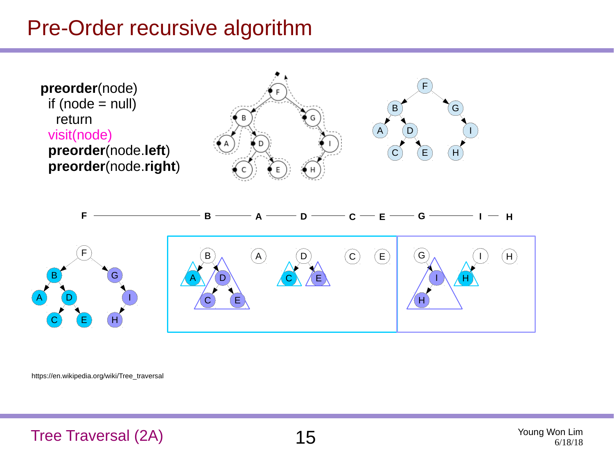## Pre-Order recursive algorithm

**preorder**(node)  $if (node = null)$  return visit(node) **preorder**(node.**left**) **preorder**(node.**right**)



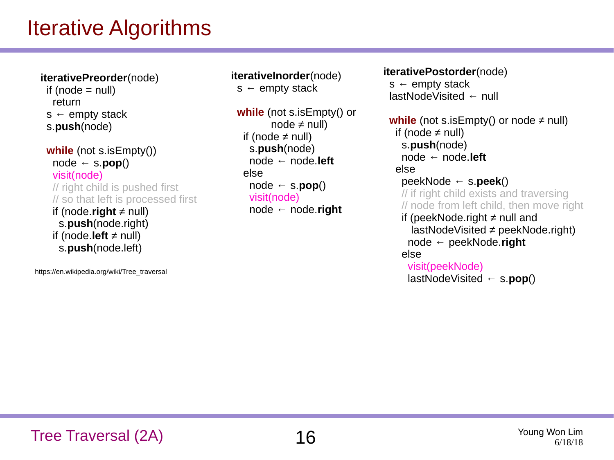## Iterative Algorithms

**iterativePreorder**(node)

 if (node = null) return  $s \leftarrow$  empty stack s.**push**(node)

 **while** (not s.isEmpty()) node ← s.**pop**() visit(node) // right child is pushed first // so that left is processed first if (node.**right** ≠ null) s.**push**(node.right) if (node.**left** ≠ null) s.**push**(node.left)

https://en.wikipedia.org/wiki/Tree\_traversal

**iterativeInorder**(node)  $s \leftarrow$  empty stack

 **while** (not s.isEmpty() or node  $≠$  null) if (node ≠ null) s.**push**(node) node ← node.**left** else node ← s.**pop**() visit(node) node ← node.**right**

**iterativePostorder**(node)  $s \leftarrow$  empty stack lastNodeVisited ← null

**while** (not s.is Empty() or node  $\neq$  null) if (node ≠ null) s.**push**(node) node ← node.**left** else peekNode ← s.**peek**() // if right child exists and traversing // node from left child, then move right if (peekNode.right  $≠$  null and lastNodeVisited ≠ peekNode.right) node ← peekNode.**right** else visit(peekNode) lastNodeVisited ← s.**pop**()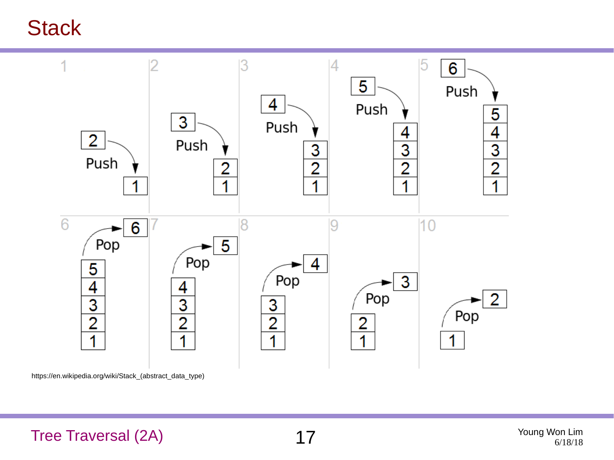**Stack** 



https://en.wikipedia.org/wiki/Stack\_(abstract\_data\_type)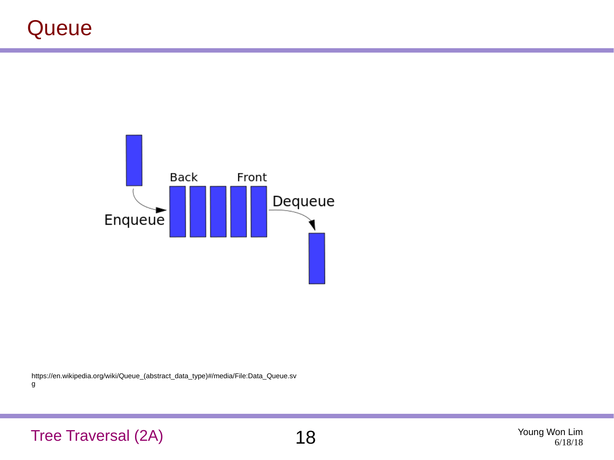

https://en.wikipedia.org/wiki/Queue\_(abstract\_data\_type)#/media/File:Data\_Queue.sv g

Tree Traversal (2A)  $18^{10}$  and  $18^{10}$  and  $18^{10}$  and  $18^{10}$  and  $18^{11}$  and  $18^{11}$  and  $18^{11}$  and  $18^{11}$  and  $18^{11}$  and  $18^{11}$  and  $18^{11}$  and  $18^{11}$  and  $18^{11}$  and  $18^{11}$  and  $18^{11}$  and  $18^{11}$ 

6/18/18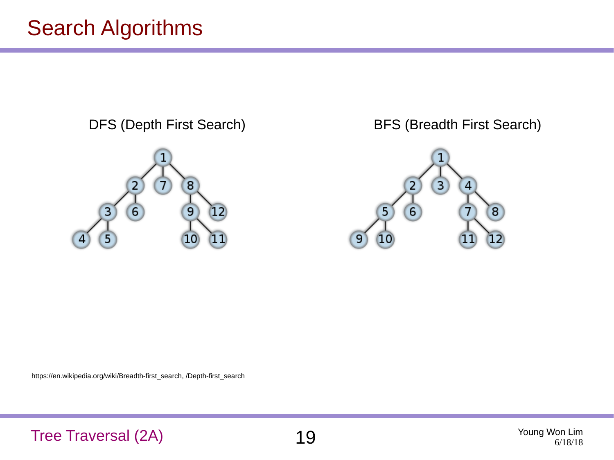## Search Algorithms



DFS (Depth First Search) BFS (Breadth First Search)



https://en.wikipedia.org/wiki/Breadth-first\_search, /Depth-first\_search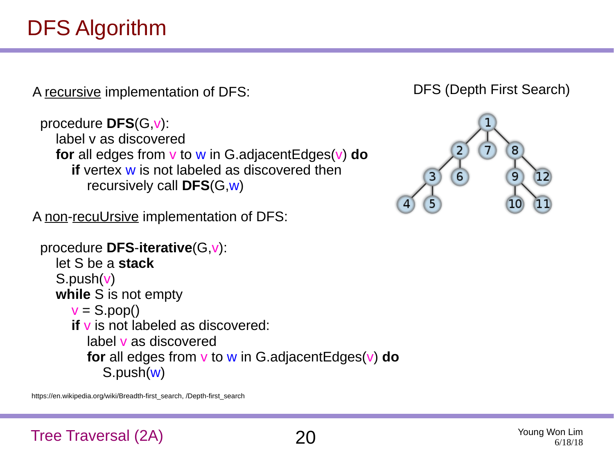A recursive implementation of DFS: DFS (Depth First Search)



A non-recuUrsive implementation of DFS:

```
 procedure DFS-iterative(G,v):
let S be a stack
S.push(v)
while S is not empty
  v = S.pop() if v is not labeled as discovered:
     label v as discovered
     for all edges from v to w in G.adjacentEdges(v) do
        S.push(w)
```
https://en.wikipedia.org/wiki/Breadth-first\_search, /Depth-first\_search

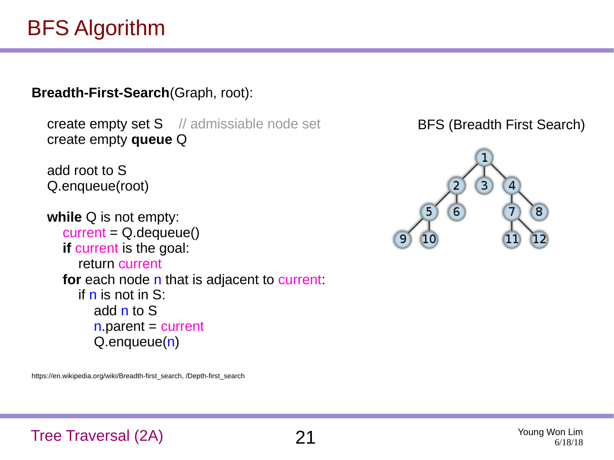## BFS Algorithm

#### **Breadth-First-Search**(Graph, root):

create empty set S // admissiable node set create empty **queue** Q

 add root to S Q.enqueue(root)

```
 while Q is not empty:
current = Q.dequeue()
if current is the goal:
   return current
for each node n that is adjacent to current:
  if n is not in S:
      add n to S
      n.parent = current
      Q.enqueue(n)
```
https://en.wikipedia.org/wiki/Breadth-first\_search, /Depth-first\_search

BFS (Breadth First Search)

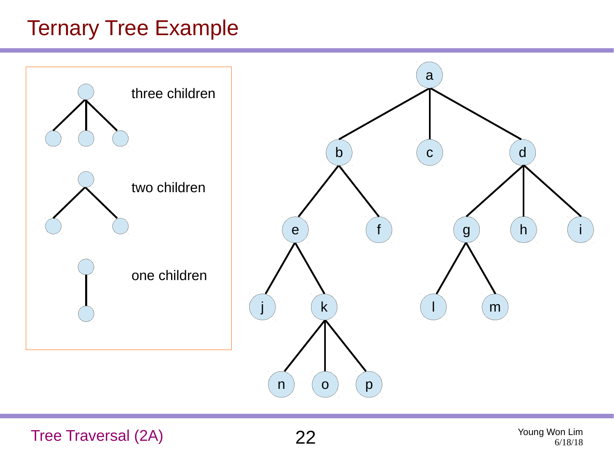### Ternary Tree Example



Tree Traversal (2A) 22 Young Won Lim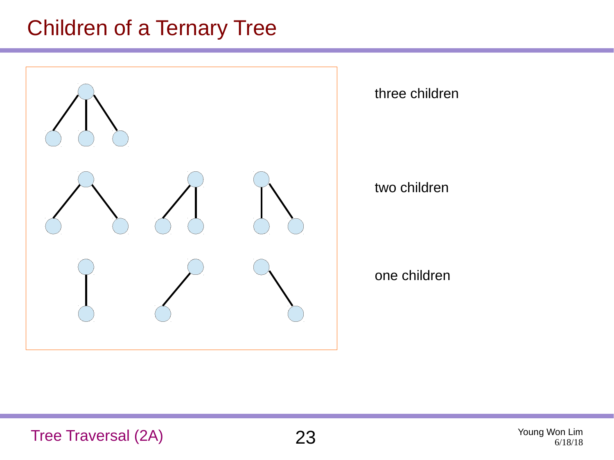## Children of a Ternary Tree



#### three children

#### two children

one children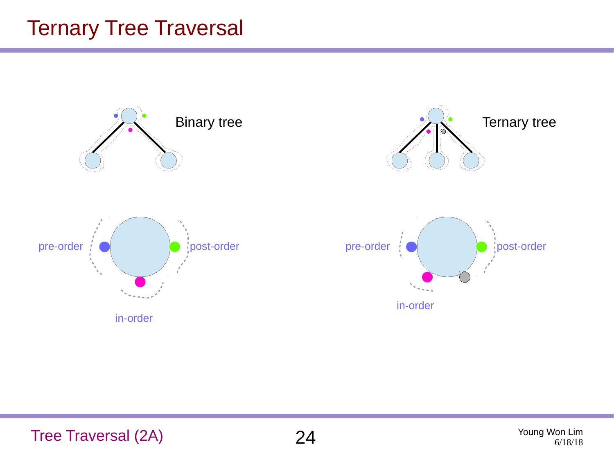## Ternary Tree Traversal

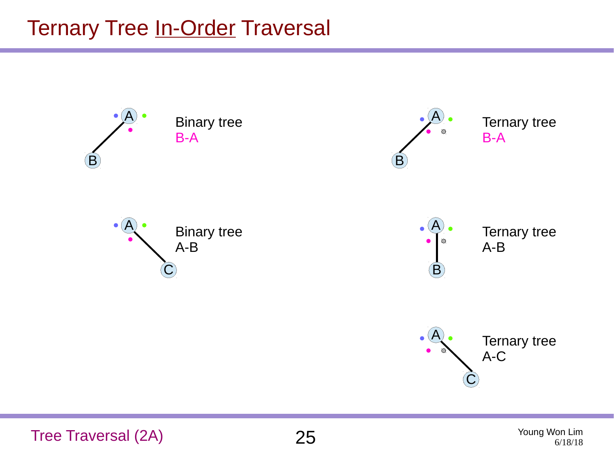## **Ternary Tree In-Order Traversal**



Tree Traversal (2A) 25 Young Won Lim 6/18/18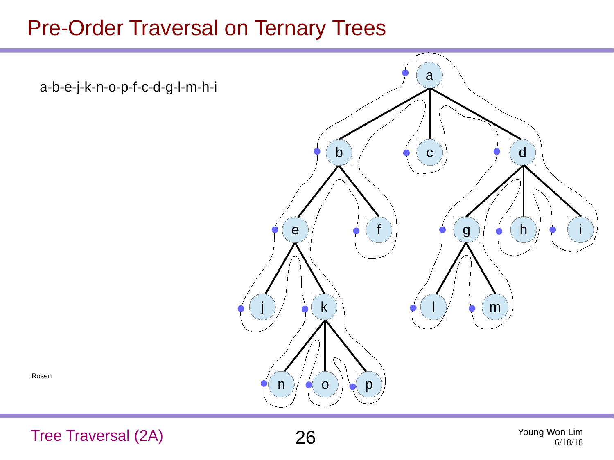#### Pre-Order Traversal on Ternary Trees



Rosen

Tree Traversal (2A) 26 Young Won Lim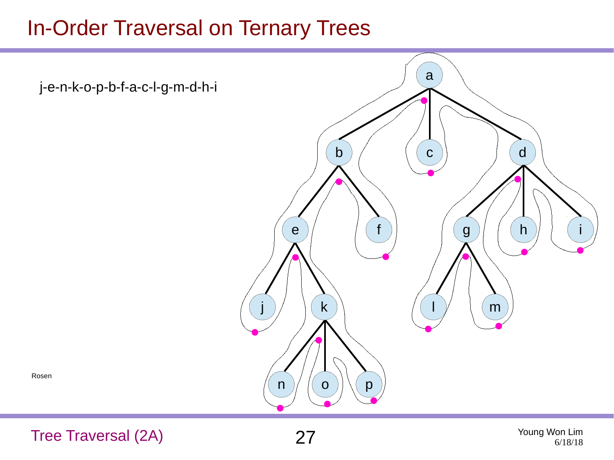#### In-Order Traversal on Ternary Trees



Rosen

#### Tree Traversal (2A) 27 Young Won Lim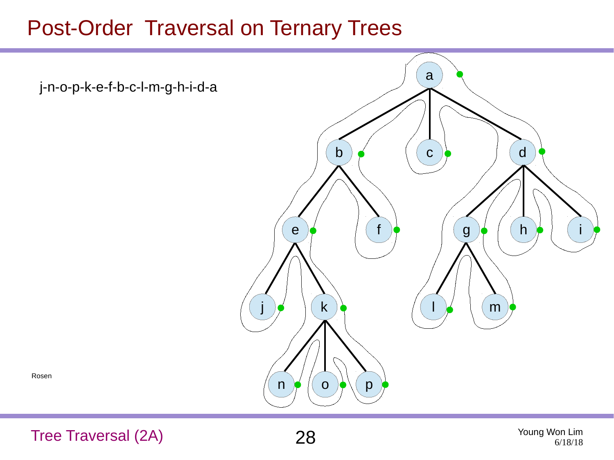#### Post-Order Traversal on Ternary Trees

j-n-o-p-k-e-f-b-c-l-m-g-h-i-d-a



Rosen

Tree Traversal (2A) 28 Young Won Lim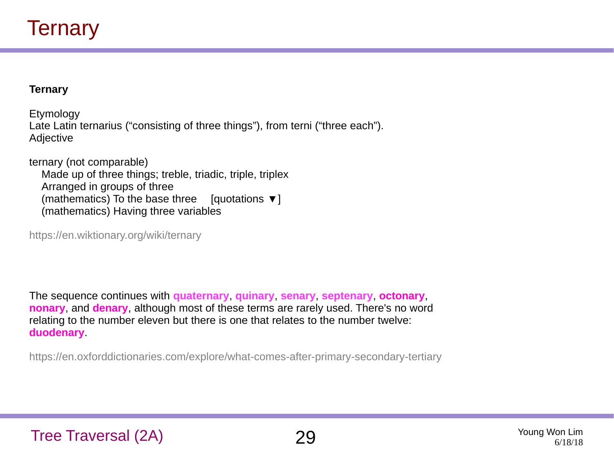## **Ternary**

#### **Ternary**

Etymology Late Latin ternarius ("consisting of three things"), from terni ("three each"). Adjective

ternary (not comparable) Made up of three things; treble, triadic, triple, triplex Arranged in groups of three (mathematics) To the base three [quotations  $\nabla$ ] (mathematics) Having three variables

https://en.wiktionary.org/wiki/ternary

The sequence continues with **quaternary**, **quinary**, **senary**, **septenary**, **octonary**, **nonary**, and **denary**, although most of these terms are rarely used. There's no word relating to the number eleven but there is one that relates to the number twelve: **duodenary**.

https://en.oxforddictionaries.com/explore/what-comes-after-primary-secondary-tertiary